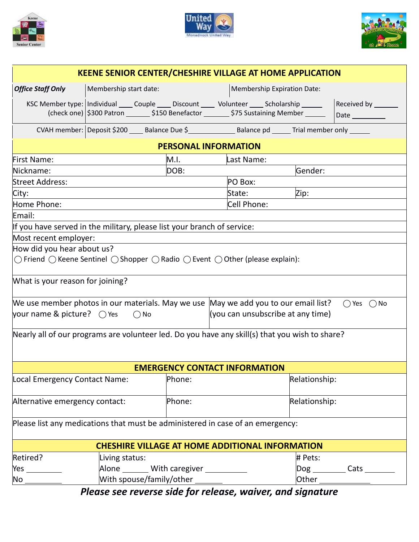





| <b>KEENE SENIOR CENTER/CHESHIRE VILLAGE AT HOME APPLICATION</b>                                                                     |                                                                                                                                                                                                  |        |                                   |               |                                    |  |
|-------------------------------------------------------------------------------------------------------------------------------------|--------------------------------------------------------------------------------------------------------------------------------------------------------------------------------------------------|--------|-----------------------------------|---------------|------------------------------------|--|
| <b>Office Staff Only</b>                                                                                                            | Membership start date:                                                                                                                                                                           |        | Membership Expiration Date:       |               |                                    |  |
|                                                                                                                                     | KSC Member type:   Individual _____ Couple _____ Discount ______ Volunteer _____ Scholarship ______<br>(check one) \$300 Patron ________ \$150 Benefactor ________ \$75 Sustaining Member ______ |        |                                   |               | Received by <b>Network</b><br>Date |  |
|                                                                                                                                     | CVAH member: Deposit \$200 ____ Balance Due \$________________ Balance pd ______ Trial member only ____                                                                                          |        |                                   |               |                                    |  |
| <b>PERSONAL INFORMATION</b>                                                                                                         |                                                                                                                                                                                                  |        |                                   |               |                                    |  |
| <b>First Name:</b>                                                                                                                  |                                                                                                                                                                                                  | M.I.   | Last Name:                        |               |                                    |  |
| Nickname:                                                                                                                           |                                                                                                                                                                                                  | DOB:   |                                   | Gender:       |                                    |  |
| <b>Street Address:</b>                                                                                                              |                                                                                                                                                                                                  |        | PO Box:                           |               |                                    |  |
| City:                                                                                                                               |                                                                                                                                                                                                  |        | State:                            | Zip:          |                                    |  |
| Home Phone:                                                                                                                         |                                                                                                                                                                                                  |        | Cell Phone:                       |               |                                    |  |
| Email:                                                                                                                              |                                                                                                                                                                                                  |        |                                   |               |                                    |  |
| If you have served in the military, please list your branch of service:                                                             |                                                                                                                                                                                                  |        |                                   |               |                                    |  |
| Most recent employer:                                                                                                               |                                                                                                                                                                                                  |        |                                   |               |                                    |  |
| How did you hear about us?                                                                                                          |                                                                                                                                                                                                  |        |                                   |               |                                    |  |
| $\bigcirc$ Friend $\bigcirc$ Keene Sentinel $\bigcirc$ Shopper $\bigcirc$ Radio $\bigcirc$ Event $\bigcirc$ Other (please explain): |                                                                                                                                                                                                  |        |                                   |               |                                    |  |
| What is your reason for joining?                                                                                                    |                                                                                                                                                                                                  |        |                                   |               |                                    |  |
| We use member photos in our materials. May we use May we add you to our email list?<br>$\bigcap$ Yes $\bigcap$ No                   |                                                                                                                                                                                                  |        |                                   |               |                                    |  |
| your name & picture? $\bigcirc$ Yes<br>$\bigcirc$ No                                                                                |                                                                                                                                                                                                  |        | (you can unsubscribe at any time) |               |                                    |  |
| Nearly all of our programs are volunteer led. Do you have any skill(s) that you wish to share?                                      |                                                                                                                                                                                                  |        |                                   |               |                                    |  |
| <b>EMERGENCY CONTACT INFORMATION</b>                                                                                                |                                                                                                                                                                                                  |        |                                   |               |                                    |  |
| Local Emergency Contact Name:                                                                                                       |                                                                                                                                                                                                  | Phone: |                                   | Relationship: |                                    |  |
| Alternative emergency contact:                                                                                                      |                                                                                                                                                                                                  | Phone: |                                   | Relationship: |                                    |  |
|                                                                                                                                     | Please list any medications that must be administered in case of an emergency:                                                                                                                   |        |                                   |               |                                    |  |
| <b>CHESHIRE VILLAGE AT HOME ADDITIONAL INFORMATION</b>                                                                              |                                                                                                                                                                                                  |        |                                   |               |                                    |  |
| Retired?                                                                                                                            | Living status:                                                                                                                                                                                   |        |                                   | # Pets:       |                                    |  |
| $Yes \_\_$                                                                                                                          | Alone _______ With caregiver __________                                                                                                                                                          |        |                                   |               | Dog ___________ Cats _________     |  |
|                                                                                                                                     | With spouse/family/other _______                                                                                                                                                                 |        |                                   |               |                                    |  |

*Please see reverse side for release, waiver, and signature*